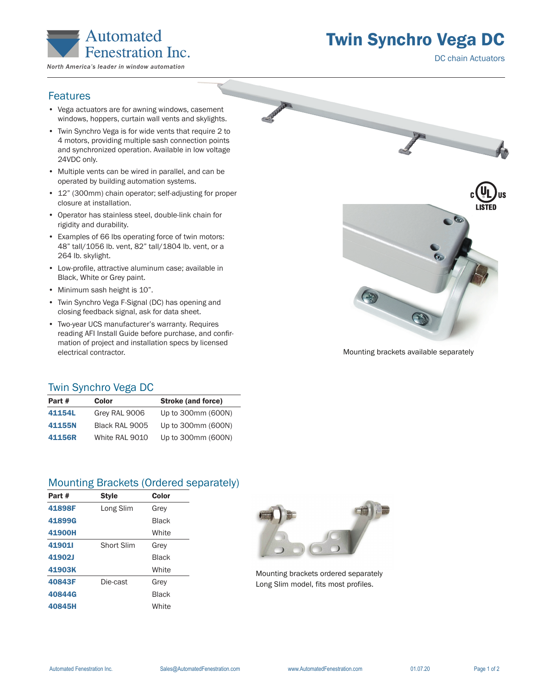

Twin Synchro Vega DC

DC chain Actuators

## Features

- Vega actuators are for awning windows, casement windows, hoppers, curtain wall vents and skylights.
- Twin Synchro Vega is for wide vents that require 2 to 4 motors, providing multiple sash connection points and synchronized operation. Available in low voltage 24VDC only.
- Multiple vents can be wired in parallel, and can be operated by building automation systems.
- 12" (300mm) chain operator; self-adjusting for proper closure at installation.
- Operator has stainless steel, double-link chain for rigidity and durability.
- Examples of 66 lbs operating force of twin motors: 48" tall/1056 lb. vent, 82" tall/1804 lb. vent, or a 264 lb. skylight.
- Low-profile, attractive aluminum case; available in Black, White or Grey paint.
- Minimum sash height is 10".
- Twin Synchro Vega F-Signal (DC) has opening and closing feedback signal, ask for data sheet.
- Two-year UCS manufacturer's warranty. Requires reading AFI Install Guide before purchase, and confirmation of project and installation specs by licensed electrical contractor.



Mounting brackets available separately

## Twin Synchro Vega DC

| Part # | Color          | <b>Stroke (and force)</b> |
|--------|----------------|---------------------------|
| 41154L | Grey RAL 9006  | Up to 300mm (600N)        |
| 41155N | Black RAL 9005 | Up to 300mm (600N)        |
| 41156R | White RAL 9010 | Up to 300mm (600N)        |

## Mounting Brackets (Ordered separately)

| Part # | <b>Style</b> | Color        |
|--------|--------------|--------------|
| 41898F | Long Slim    | Grey         |
| 41899G |              | <b>Black</b> |
| 41900H |              | White        |
| 419011 | Short Slim   | Grey         |
| 41902J |              | <b>Black</b> |
| 41903K |              | White        |
| 40843F | Die-cast     | Grey         |
| 40844G |              | Black        |
| 40845H |              | White        |
|        |              |              |



Mounting brackets ordered separately Long Slim model, fits most profiles.